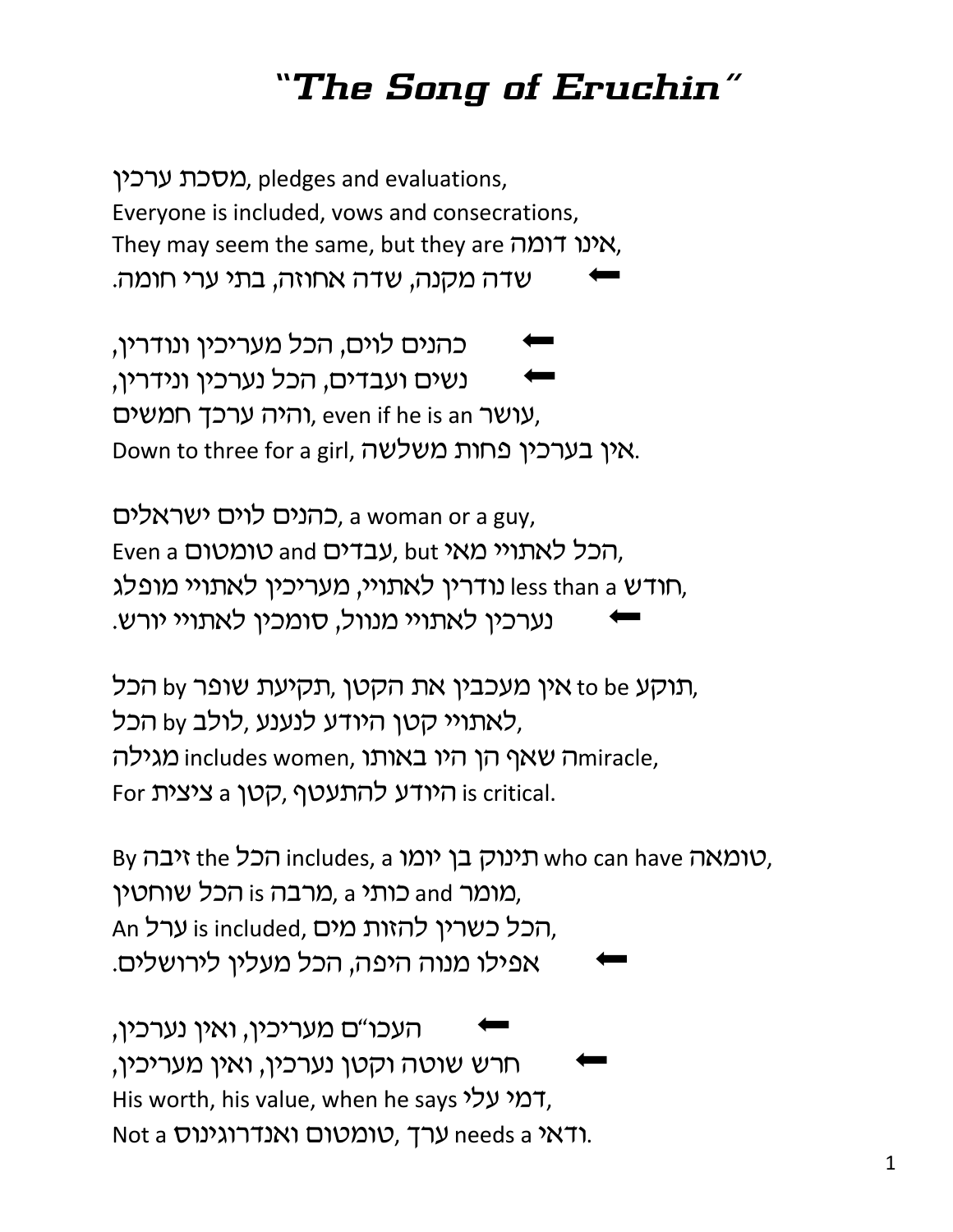## *"The Song of Eruchin"*

מסכת ערכין. pledges and evaluations, Everyone is included, vows and consecrations, They may seem the same, but they are אינו דומה, שדה מקנה, שדה אחוזה, בתי ערי חומה.

'כהנים לוים, הכל מעריכין ונודרין 'ושים ועבדים, הכל נערכין ונידרין רהיה ערכך חמשים, even if he is an יהיה ערכך, Down to three for a girl, אין בערכין פחות משלשה.

כהנים לוים ישראלים, a woman or a guy, Even a סומטום, but hty בדים and טומטום, חודש Iess than a נודרין לאתויי, מעריכין לאתויי מופלג, נערכין לאתויי מנוול, סומכין לאתויי יורש.

תוקע to be אין מעכבין את הקטן ,תקיעת שופר by to he לאתויי קטן היודע לנענע ,לולב by הכל, ה שאף הן היו באותו includes women, הו היי באותו intracle, For היודע להתעטף, קטן is critical.

By טומאה who can have תינוק בן יומו inc הכל, מומר and כותי is מרבה, a מומר and מומר, An הכל כשרין להזות מים, is included ערל, אפילו מנוה היפה, הכל מעלין לירושלים.

העכו"ם מעריכין, ואין נערכין, חרש שוטה וקטן נערכין, ואין מעריכין, His worth, his value, when he says המי עלי, Not a  $\lambda$ ודאי needs a ערך, טומטום ואנדרוגינוס.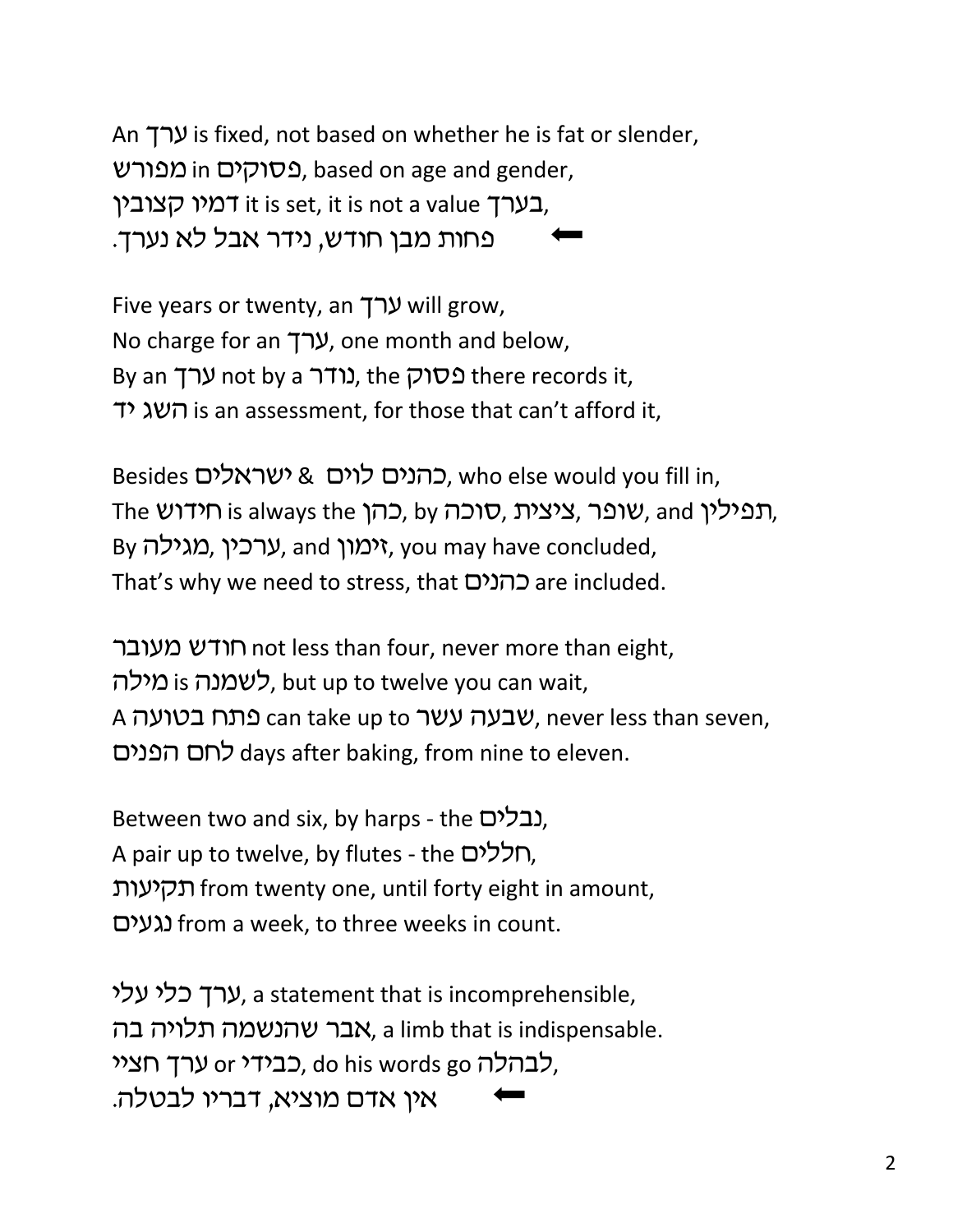An  $\uparrow$  is fixed, not based on whether he is fat or slender, פסוקים in מפורש, based on age and gender, בערך, it is set, it is not a value בערך, פחות מבן חודש, נידר אבל לא נערך.

Five years or twenty, an ערך will grow, No charge for an  $\mathcal{V}$ , one month and below, By an **ערך not by a נודר** flere records it, sh dav is an assessment, for those that can't afford it,

Besides כהנים לוים & ישראלים, who else would you fill in, The *שופר, ציצית, סוכה, by כהן*, by תפילי, and is always the inkhp, By וערכין, and יימון, you may have concluded, That's why we need to stress, that כהנים are included.

חודש מעובר not less than four, never more than eight, לשמנה is כאמנה, but up to twelve you can wait, A שבעה עשר can take up to שבעה שבעה אר can take up to wבעה, ohbpv ojk days after baking, from nine to eleven.

Between two and six, by harps - the נבלים), A pair up to twelve, by flutes - the חללים), תקיעות from twenty one, until forty eight in amount, ohgdb from a week, to three weeks in count.

ערך כלי עלי, a statement that is incomprehensible, אבר שהנשמה תלויה בה, a limb that is indispensable. לבהלה do his words go כבידי or לבהלה, אין אדם מוציא, דבריו לבטלה.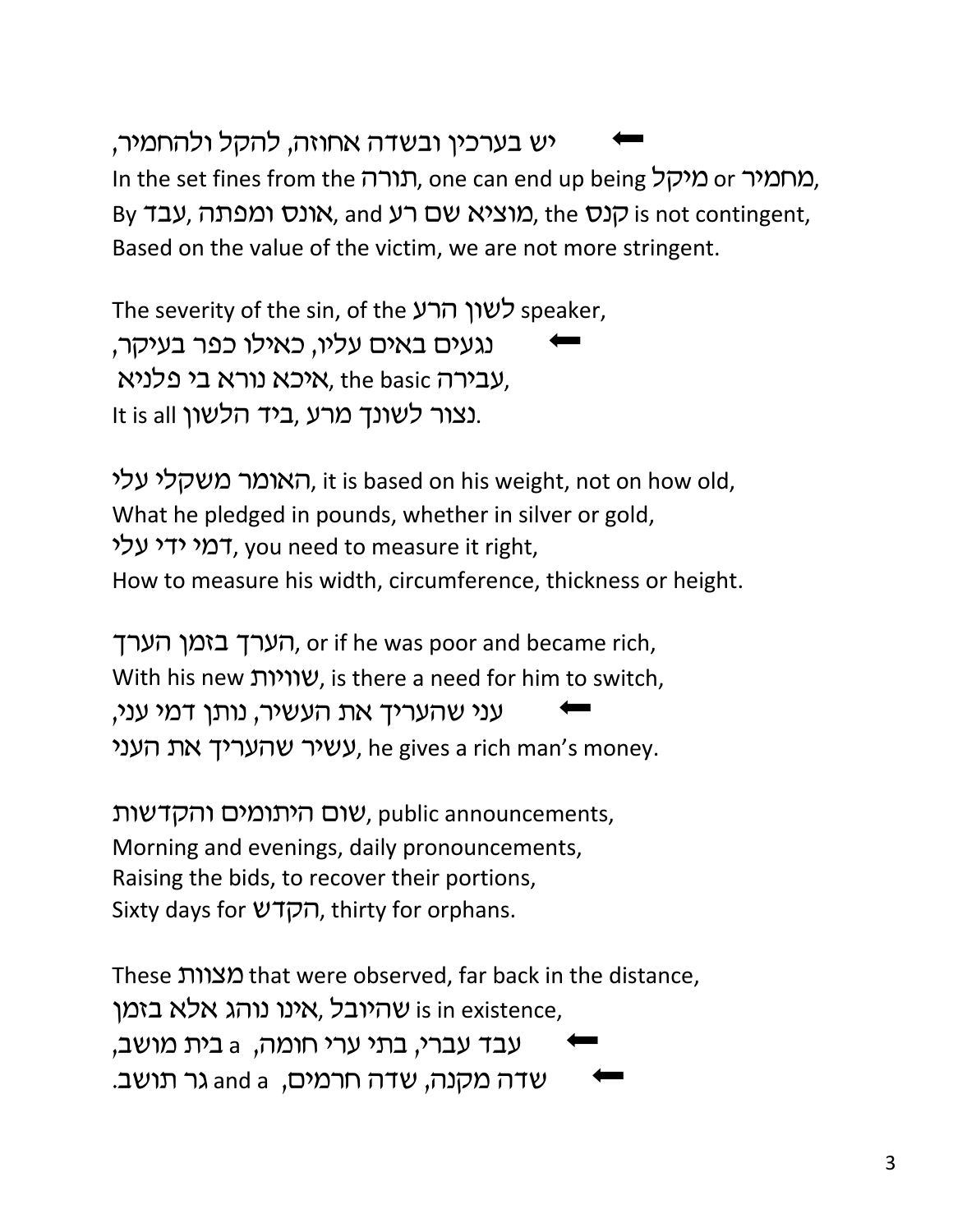## יש בערכיו ובשדה אחוזה, להקל ולהחמיר,

In the set fines from the תורה, one can end up being מחמיר, By הנא אונס ומפתה, עבד, and מוציא שם רע, and contingent, Based on the value of the victim, we are not more stringent.

The severity of the sin, of the לשון הרע 'נגעים באים עליו, כאילו כפר בעיקר, עבירה אוe basic איכא נורא בי פלניא, the basic It is all נצור לשונך מרע, ביד הלשון.

האומר משקלי עלי, it is based on his weight, not on how old, What he pledged in pounds, whether in silver or gold, דמי ידי עלי, you need to measure it right, How to measure his width, circumference, thickness or height.

הערך בזמן הערך, or if he was poor and became rich, With his new יוויות, is there a need for him to switch, עני שהעריך את העשיר, נותן דמי עני, , עשיר שהעריך את העני, he gives a rich man's money.

שום היתומים והקדשות, public announcements, Morning and evenings, daily pronouncements, Raising the bids, to recover their portions, Sixty days for הקדש, thirty for orphans.

These מצוות that were observed, far back in the distance, ו שהיובל ,אינו נוהג אלא בזמן is in existence, עבד עברי, בתי ערי חומה, k בית מושב, שדה מקנה, שדה חרמים, and a גר תושב.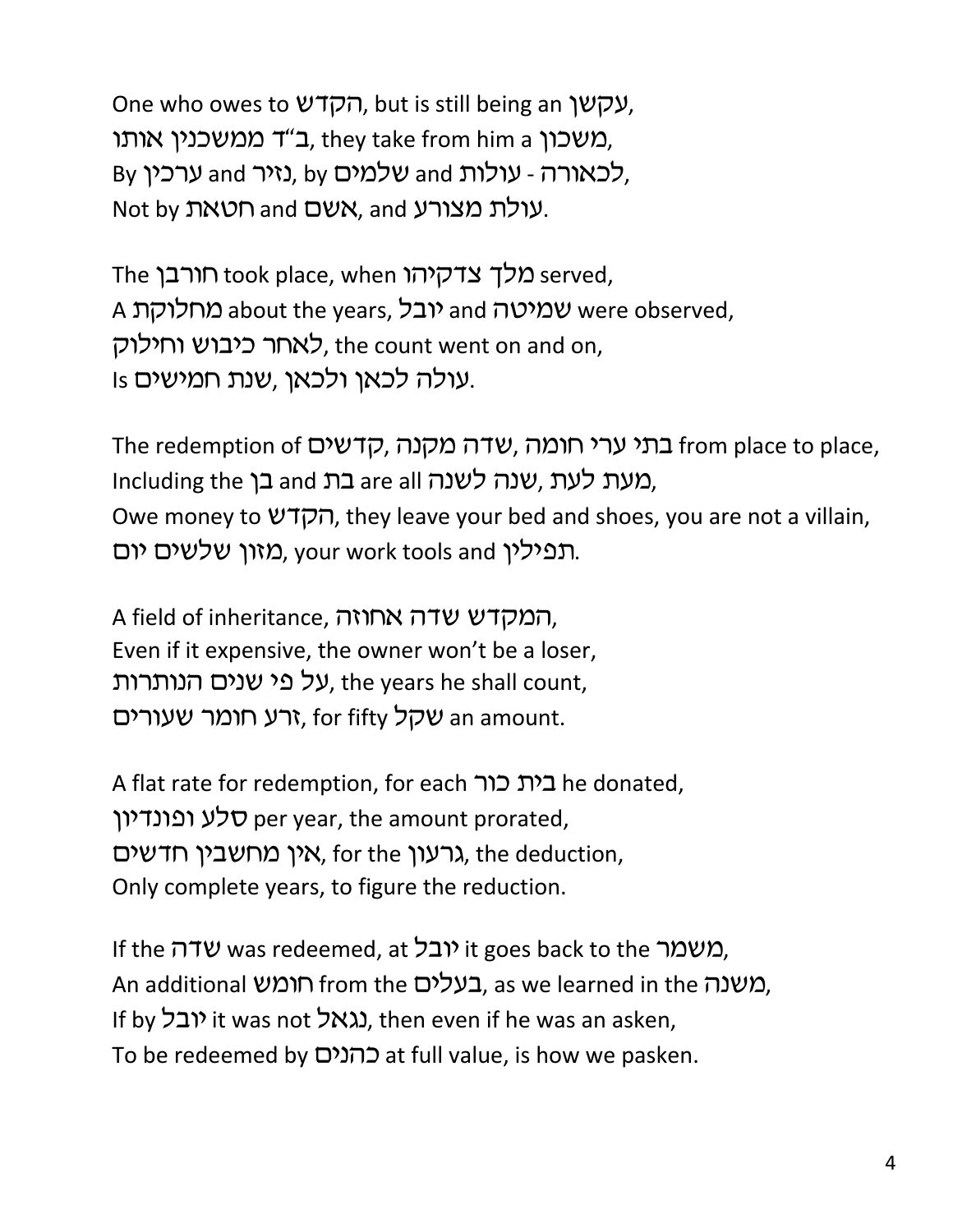One who owes to עקשן, but is still being an עקשן, משכון a they take from him a ב"ד ממשכנין. By לכאורה - עולות and שלמים, by לכאורה, Not by רעולת מצורע, and אשם ו $\lambda$ ת מצורע.

The כלך צדקיהו took place, when מלך צדקיהו A יובל, about the years, וובל and מחלוקת and were observed, לאחר כיבוש וחילוק, the count went on and on, Is עולה לכאן ולכאן, שנת חמישים.

The redemption of הרמה, שדה מקנה, קדשים from place to place, Including the בת and בן and are all hcluding the Owe money to הקדש, they leave your bed and shoes, you are not a villain, תפילין your work tools and מזון שלשים יום.

A field of inheritance, המקדש שדה אחוזה. Even if it expensive, the owner won't be a loser, על פי שנים הנותרות, the years he shall count, זרע חומר שעורים, for fifty יום an amount.

A flat rate for redemption, for each בית כור סלע ופונדיון per year, the amount prorated, גרעון און האין מחשבין חדשים, the deduction, Only complete years, to figure the reduction.

If the שמר it goes back to the יובל if the was redeemed, at  $\alpha$ ו An additional רומש from the בעלים, as we learned in the משנה, If by וגאל it was not גגאל), then even if he was an asken, To be redeemed by כהנים at full value, is how we pasken.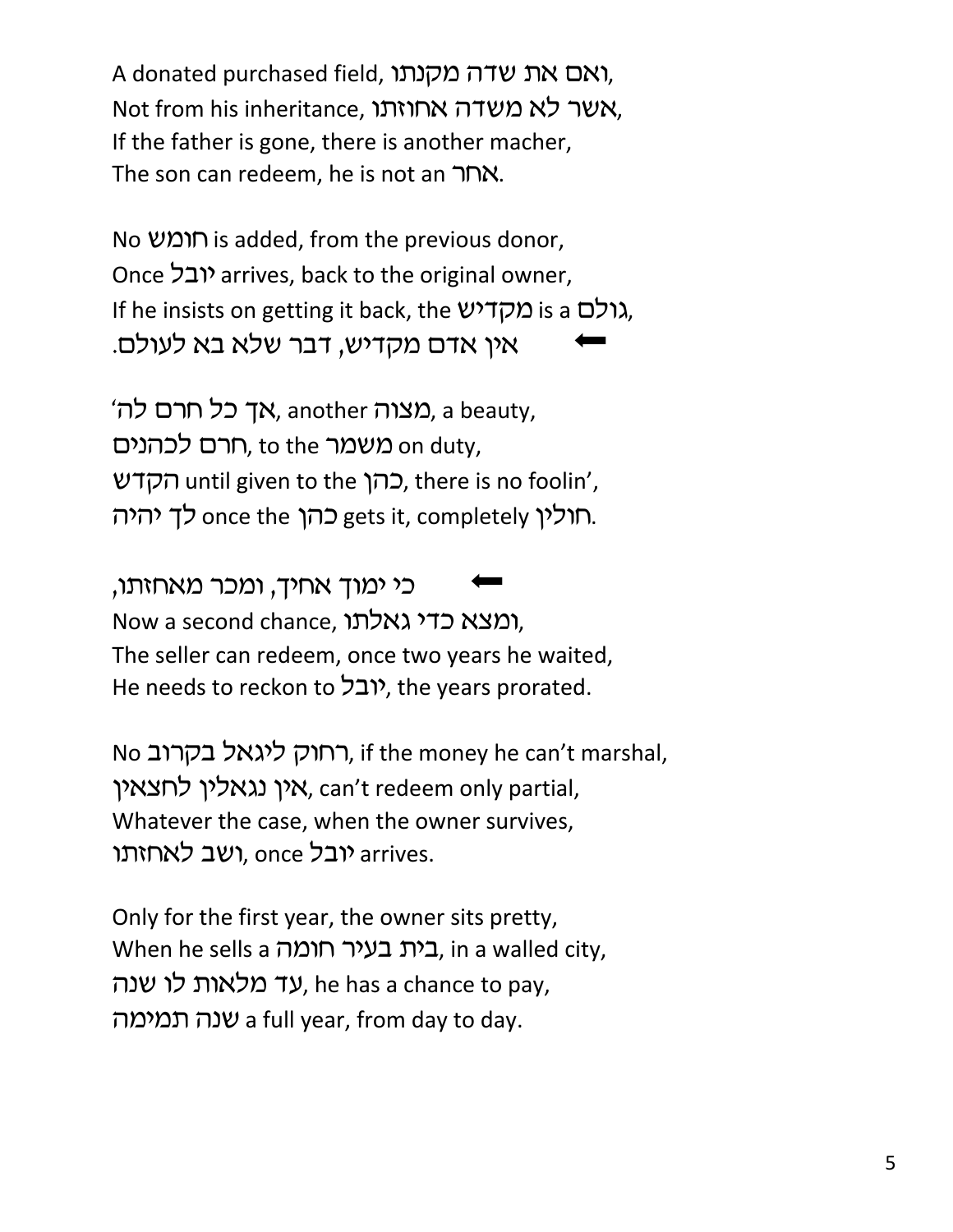A donated purchased field, ואם את שדה מקנתו, Not from his inheritance, אשר לא משדה אחוזתו, If the father is gone, there is another macher, The son can redeem, he is not an האחר

No וומש is added, from the previous donor, Once *יובל* arrives, back to the original owner, If he insists on getting it back, the *גו*לם is a גולם, אין אדם מקדיש, דבר שלא בא לעולם.

"גאך כל חרם לה, another מצוה, a beauty, on duty, חרם לכהנים, to the משמר Cהן che to the כהו, there is no foolin', רוליו gets it, completely כהו once the לד יהיה.

כי ימוך אחיך, ומכר מאחזתו, Now a second chance, ומצא כדי גאלתו, The seller can redeem, once two years he waited, He needs to reckon to  $\mathcal{V}(\mathcal{L})$ , the years prorated.

No רחוק ליגאל בקרוב, if the money he can't marshal, אין נגאלין לחצאין. can't redeem only partial, Whatever the case, when the owner survives, ועב לאחזתו, once יובל, once ג

Only for the first year, the owner sits pretty, When he sells a רית בעיר חומה. in a walled city, עד מלאות לו שנה, he has a chance to pay, vnhn, vba a full year, from day to day.